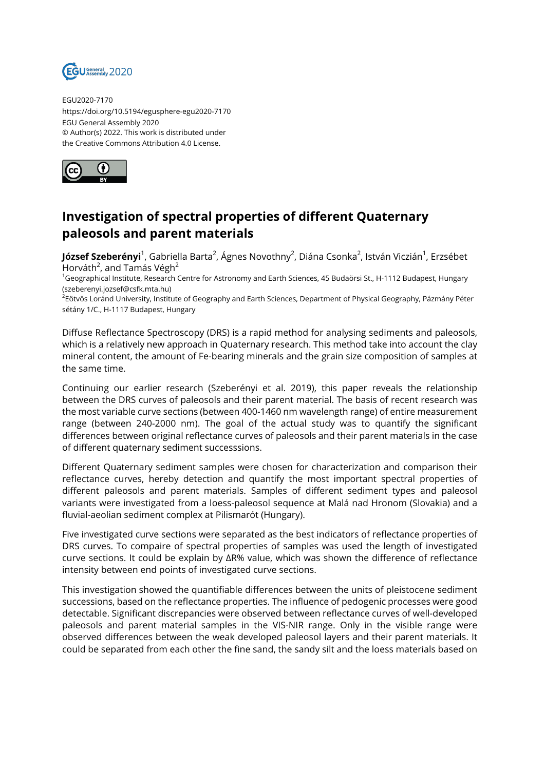

EGU2020-7170 https://doi.org/10.5194/egusphere-egu2020-7170 EGU General Assembly 2020 © Author(s) 2022. This work is distributed under the Creative Commons Attribution 4.0 License.



## **Investigation of spectral properties of different Quaternary paleosols and parent materials**

**József Szeberényi**<sup>1</sup>, Gabriella Barta<sup>2</sup>, Ágnes Novothny<sup>2</sup>, Diána Csonka<sup>2</sup>, István Viczián<sup>1</sup>, Erzsébet Horváth<sup>2</sup>, and Tamás Végh<sup>2</sup>

<sup>1</sup>Geographical Institute, Research Centre for Astronomy and Earth Sciences, 45 Budaörsi St., H-1112 Budapest, Hungary (szeberenyi.jozsef@csfk.mta.hu)

<sup>2</sup>Eötvös Loránd University, Institute of Geography and Earth Sciences, Department of Physical Geography, Pázmány Péter sétány 1/C., H-1117 Budapest, Hungary

Diffuse Reflectance Spectroscopy (DRS) is a rapid method for analysing sediments and paleosols, which is a relatively new approach in Quaternary research. This method take into account the clay mineral content, the amount of Fe-bearing minerals and the grain size composition of samples at the same time.

Continuing our earlier research (Szeberényi et al. 2019), this paper reveals the relationship between the DRS curves of paleosols and their parent material. The basis of recent research was the most variable curve sections (between 400-1460 nm wavelength range) of entire measurement range (between 240-2000 nm). The goal of the actual study was to quantify the significant differences between original reflectance curves of paleosols and their parent materials in the case of different quaternary sediment successsions.

Different Quaternary sediment samples were chosen for characterization and comparison their reflectance curves, hereby detection and quantify the most important spectral properties of different paleosols and parent materials. Samples of different sediment types and paleosol variants were investigated from a loess-paleosol sequence at Malá nad Hronom (Slovakia) and a fluvial-aeolian sediment complex at Pilismarót (Hungary).

Five investigated curve sections were separated as the best indicators of reflectance properties of DRS curves. To compaire of spectral properties of samples was used the length of investigated curve sections. It could be explain by ΔR% value, which was shown the difference of reflectance intensity between end points of investigated curve sections.

This investigation showed the quantifiable differences between the units of pleistocene sediment successions, based on the reflectance properties. The influence of pedogenic processes were good detectable. Significant discrepancies were observed between reflectance curves of well-developed paleosols and parent material samples in the VIS-NIR range. Only in the visible range were observed differences between the weak developed paleosol layers and their parent materials. It could be separated from each other the fine sand, the sandy silt and the loess materials based on